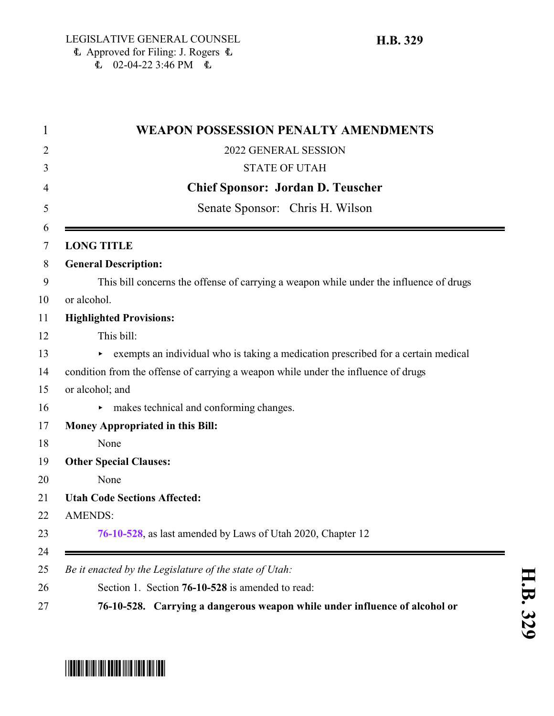|                   | <b>WEAPON POSSESSION PENALTY AMENDMENTS</b>                                            |
|-------------------|----------------------------------------------------------------------------------------|
|                   | 2022 GENERAL SESSION                                                                   |
|                   | <b>STATE OF UTAH</b>                                                                   |
|                   | <b>Chief Sponsor: Jordan D. Teuscher</b>                                               |
|                   | Senate Sponsor: Chris H. Wilson                                                        |
| <b>LONG TITLE</b> |                                                                                        |
|                   | <b>General Description:</b>                                                            |
|                   | This bill concerns the offense of carrying a weapon while under the influence of drugs |
| or alcohol.       |                                                                                        |
|                   | <b>Highlighted Provisions:</b>                                                         |
|                   | This bill:                                                                             |
|                   | exempts an individual who is taking a medication prescribed for a certain medical      |
|                   | condition from the offense of carrying a weapon while under the influence of drugs     |
| or alcohol; and   |                                                                                        |
| ►                 | makes technical and conforming changes.                                                |
|                   | <b>Money Appropriated in this Bill:</b>                                                |
|                   | None                                                                                   |
|                   | <b>Other Special Clauses:</b>                                                          |
|                   | None                                                                                   |
|                   | <b>Utah Code Sections Affected:</b>                                                    |
| <b>AMENDS:</b>    |                                                                                        |
|                   | 76-10-528, as last amended by Laws of Utah 2020, Chapter 12                            |
|                   | Be it enacted by the Legislature of the state of Utah:                                 |
|                   | Section 1. Section 76-10-528 is amended to read:                                       |
|                   | 76-10-528. Carrying a dangerous weapon while under influence of alcohol or             |

## <span id="page-0-0"></span>\*HB0329\*